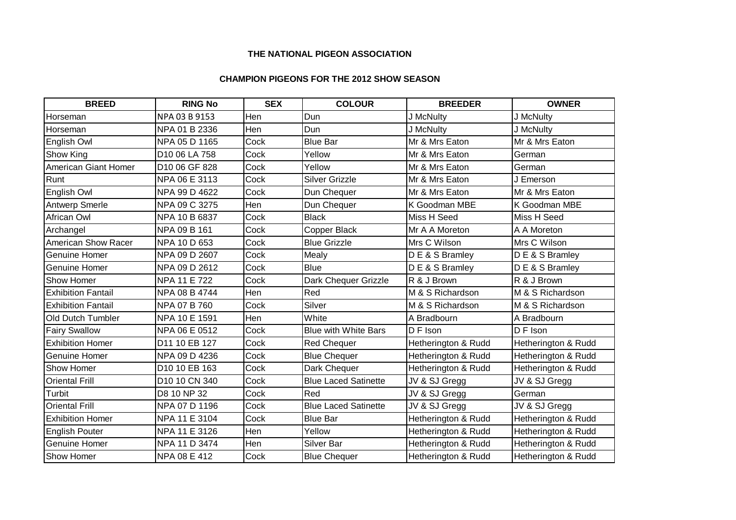## **THE NATIONAL PIGEON ASSOCIATION**

## **CHAMPION PIGEONS FOR THE 2012 SHOW SEASON**

| <b>BREED</b>              | <b>RING No</b> | <b>SEX</b> | <b>COLOUR</b>               | <b>BREEDER</b>      | <b>OWNER</b>        |
|---------------------------|----------------|------------|-----------------------------|---------------------|---------------------|
| Horseman                  | NPA 03 B 9153  | Hen        | Dun                         | J McNulty           | J McNulty           |
| Horseman                  | NPA 01 B 2336  | <b>Hen</b> | Dun                         | J McNulty           | J McNulty           |
| English Owl               | NPA 05 D 1165  | Cock       | <b>Blue Bar</b>             | Mr & Mrs Eaton      | Mr & Mrs Eaton      |
| Show King                 | D10 06 LA 758  | Cock       | Yellow                      | Mr & Mrs Eaton      | German              |
| American Giant Homer      | D10 06 GF 828  | Cock       | Yellow                      | Mr & Mrs Eaton      | German              |
| Runt                      | NPA 06 E 3113  | Cock       | <b>Silver Grizzle</b>       | Mr & Mrs Eaton      | J Emerson           |
| English Owl               | NPA 99 D 4622  | Cock       | Dun Chequer                 | Mr & Mrs Eaton      | Mr & Mrs Eaton      |
| <b>Antwerp Smerle</b>     | NPA 09 C 3275  | Hen        | Dun Chequer                 | K Goodman MBE       | K Goodman MBE       |
| African Owl               | NPA 10 B 6837  | Cock       | <b>Black</b>                | Miss H Seed         | Miss H Seed         |
| Archangel                 | NPA 09 B 161   | Cock       | Copper Black                | Mr A A Moreton      | A A Moreton         |
| American Show Racer       | NPA 10 D 653   | Cock       | <b>Blue Grizzle</b>         | Mrs C Wilson        | Mrs C Wilson        |
| <b>Genuine Homer</b>      | NPA 09 D 2607  | Cock       | Mealy                       | D E & S Bramley     | DE & S Bramley      |
| <b>Genuine Homer</b>      | NPA 09 D 2612  | Cock       | <b>Blue</b>                 | DE & S Bramley      | DE & S Bramley      |
| <b>Show Homer</b>         | NPA 11 E 722   | Cock       | Dark Chequer Grizzle        | R & J Brown         | R & J Brown         |
| <b>Exhibition Fantail</b> | NPA 08 B 4744  | Hen        | Red                         | M & S Richardson    | M & S Richardson    |
| <b>Exhibition Fantail</b> | NPA 07 B 760   | Cock       | Silver                      | M & S Richardson    | M & S Richardson    |
| <b>Old Dutch Tumbler</b>  | NPA 10 E 1591  | Hen        | White                       | A Bradbourn         | A Bradbourn         |
| <b>Fairy Swallow</b>      | NPA 06 E 0512  | Cock       | <b>Blue with White Bars</b> | D F Ison            | D F Ison            |
| <b>Exhibition Homer</b>   | D11 10 EB 127  | Cock       | <b>Red Chequer</b>          | Hetherington & Rudd | Hetherington & Rudd |
| Genuine Homer             | NPA 09 D 4236  | Cock       | <b>Blue Chequer</b>         | Hetherington & Rudd | Hetherington & Rudd |
| Show Homer                | D10 10 EB 163  | Cock       | Dark Chequer                | Hetherington & Rudd | Hetherington & Rudd |
| <b>Oriental Frill</b>     | D10 10 CN 340  | Cock       | <b>Blue Laced Satinette</b> | JV & SJ Gregg       | JV & SJ Gregg       |
| Turbit                    | D8 10 NP 32    | Cock       | Red                         | JV & SJ Gregg       | German              |
| <b>Oriental Frill</b>     | NPA 07 D 1196  | Cock       | <b>Blue Laced Satinette</b> | JV & SJ Gregg       | JV & SJ Gregg       |
| <b>Exhibition Homer</b>   | NPA 11 E 3104  | Cock       | <b>Blue Bar</b>             | Hetherington & Rudd | Hetherington & Rudd |
| <b>English Pouter</b>     | NPA 11 E 3126  | Hen        | Yellow                      | Hetherington & Rudd | Hetherington & Rudd |
| <b>Genuine Homer</b>      | NPA 11 D 3474  | Hen        | Silver Bar                  | Hetherington & Rudd | Hetherington & Rudd |
| <b>Show Homer</b>         | NPA 08 E 412   | Cock       | <b>Blue Chequer</b>         | Hetherington & Rudd | Hetherington & Rudd |